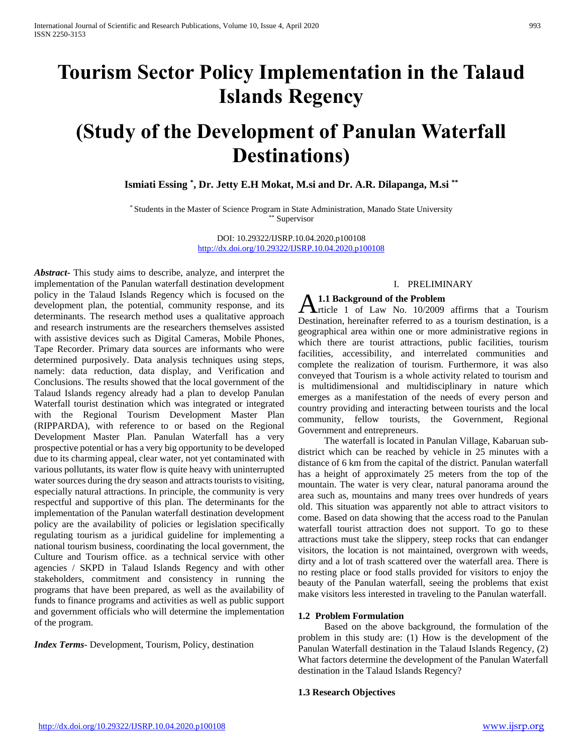# **Tourism Sector Policy Implementation in the Talaud Islands Regency**

# **(Study of the Development of Panulan Waterfall Destinations)**

**Ismiati Essing \* , Dr. Jetty E.H Mokat, M.si and Dr. A.R. Dilapanga, M.si \*\***

\* Students in the Master of Science Program in State Administration, Manado State University \*\* Supervisor

> DOI: 10.29322/IJSRP.10.04.2020.p100108 <http://dx.doi.org/10.29322/IJSRP.10.04.2020.p100108>

*Abstract***-** This study aims to describe, analyze, and interpret the implementation of the Panulan waterfall destination development policy in the Talaud Islands Regency which is focused on the development plan, the potential, community response, and its determinants. The research method uses a qualitative approach and research instruments are the researchers themselves assisted with assistive devices such as Digital Cameras, Mobile Phones, Tape Recorder. Primary data sources are informants who were determined purposively. Data analysis techniques using steps, namely: data reduction, data display, and Verification and Conclusions. The results showed that the local government of the Talaud Islands regency already had a plan to develop Panulan Waterfall tourist destination which was integrated or integrated with the Regional Tourism Development Master Plan (RIPPARDA), with reference to or based on the Regional Development Master Plan. Panulan Waterfall has a very prospective potential or has a very big opportunity to be developed due to its charming appeal, clear water, not yet contaminated with various pollutants, its water flow is quite heavy with uninterrupted water sources during the dry season and attracts tourists to visiting, especially natural attractions. In principle, the community is very respectful and supportive of this plan. The determinants for the implementation of the Panulan waterfall destination development policy are the availability of policies or legislation specifically regulating tourism as a juridical guideline for implementing a national tourism business, coordinating the local government, the Culture and Tourism office. as a technical service with other agencies / SKPD in Talaud Islands Regency and with other stakeholders, commitment and consistency in running the programs that have been prepared, as well as the availability of funds to finance programs and activities as well as public support and government officials who will determine the implementation of the program.

*Index Terms*- Development, Tourism, Policy, destination

# I. PRELIMINARY

# **1.1 Background of the Problem**

**A.1.1 Background of the Problem**<br> **A.1.1 Background of the Problem**<br>  $\frac{10}{2009}$  affirms that a Tourism Destination, hereinafter referred to as a tourism destination, is a geographical area within one or more administrative regions in which there are tourist attractions, public facilities, tourism facilities, accessibility, and interrelated communities and complete the realization of tourism. Furthermore, it was also conveyed that Tourism is a whole activity related to tourism and is multidimensional and multidisciplinary in nature which emerges as a manifestation of the needs of every person and country providing and interacting between tourists and the local community, fellow tourists, the Government, Regional Government and entrepreneurs.

 The waterfall is located in Panulan Village, Kabaruan subdistrict which can be reached by vehicle in 25 minutes with a distance of 6 km from the capital of the district. Panulan waterfall has a height of approximately 25 meters from the top of the mountain. The water is very clear, natural panorama around the area such as, mountains and many trees over hundreds of years old. This situation was apparently not able to attract visitors to come. Based on data showing that the access road to the Panulan waterfall tourist attraction does not support. To go to these attractions must take the slippery, steep rocks that can endanger visitors, the location is not maintained, overgrown with weeds, dirty and a lot of trash scattered over the waterfall area. There is no resting place or food stalls provided for visitors to enjoy the beauty of the Panulan waterfall, seeing the problems that exist make visitors less interested in traveling to the Panulan waterfall.

#### **1.2 Problem Formulation**

 Based on the above background, the formulation of the problem in this study are: (1) How is the development of the Panulan Waterfall destination in the Talaud Islands Regency, (2) What factors determine the development of the Panulan Waterfall destination in the Talaud Islands Regency?

#### **1.3 Research Objectives**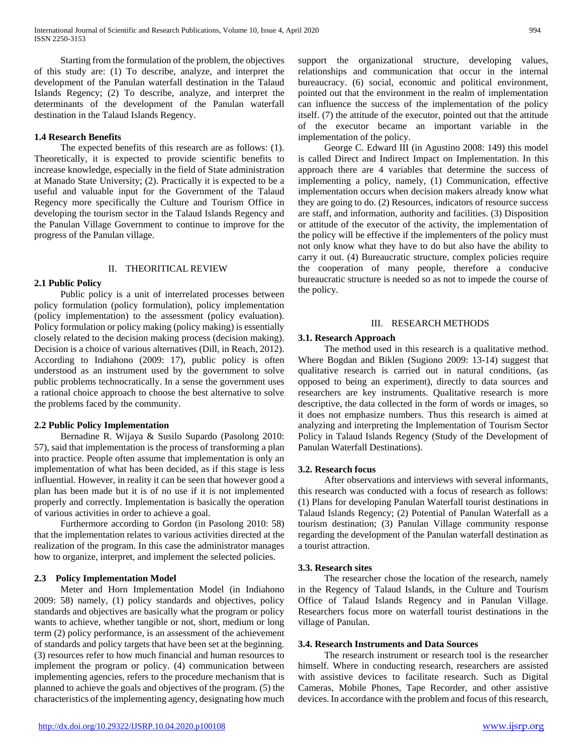Starting from the formulation of the problem, the objectives of this study are: (1) To describe, analyze, and interpret the development of the Panulan waterfall destination in the Talaud Islands Regency; (2) To describe, analyze, and interpret the determinants of the development of the Panulan waterfall destination in the Talaud Islands Regency.

# **1.4 Research Benefits**

 The expected benefits of this research are as follows: (1). Theoretically, it is expected to provide scientific benefits to increase knowledge, especially in the field of State administration at Manado State University; (2). Practically it is expected to be a useful and valuable input for the Government of the Talaud Regency more specifically the Culture and Tourism Office in developing the tourism sector in the Talaud Islands Regency and the Panulan Village Government to continue to improve for the progress of the Panulan village.

#### II. THEORITICAL REVIEW

# **2.1 Public Policy**

 Public policy is a unit of interrelated processes between policy formulation (policy formulation), policy implementation (policy implementation) to the assessment (policy evaluation). Policy formulation or policy making (policy making) is essentially closely related to the decision making process (decision making). Decision is a choice of various alternatives (Dill, in Reach, 2012). According to Indiahono (2009: 17), public policy is often understood as an instrument used by the government to solve public problems technocratically. In a sense the government uses a rational choice approach to choose the best alternative to solve the problems faced by the community.

# **2.2 Public Policy Implementation**

 Bernadine R. Wijaya & Susilo Supardo (Pasolong 2010: 57), said that implementation is the process of transforming a plan into practice. People often assume that implementation is only an implementation of what has been decided, as if this stage is less influential. However, in reality it can be seen that however good a plan has been made but it is of no use if it is not implemented properly and correctly. Implementation is basically the operation of various activities in order to achieve a goal.

 Furthermore according to Gordon (in Pasolong 2010: 58) that the implementation relates to various activities directed at the realization of the program. In this case the administrator manages how to organize, interpret, and implement the selected policies.

# **2.3 Policy Implementation Model**

 Meter and Horn Implementation Model (in Indiahono 2009: 58) namely, (1) policy standards and objectives, policy standards and objectives are basically what the program or policy wants to achieve, whether tangible or not, short, medium or long term (2) policy performance, is an assessment of the achievement of standards and policy targets that have been set at the beginning. (3) resources refer to how much financial and human resources to implement the program or policy. (4) communication between implementing agencies, refers to the procedure mechanism that is planned to achieve the goals and objectives of the program. (5) the characteristics of the implementing agency, designating how much

support the organizational structure, developing values, relationships and communication that occur in the internal bureaucracy. (6) social, economic and political environment, pointed out that the environment in the realm of implementation can influence the success of the implementation of the policy itself. (7) the attitude of the executor, pointed out that the attitude of the executor became an important variable in the implementation of the policy.

 George C. Edward III (in Agustino 2008: 149) this model is called Direct and Indirect Impact on Implementation. In this approach there are 4 variables that determine the success of implementing a policy, namely, (1) Communication, effective implementation occurs when decision makers already know what they are going to do. (2) Resources, indicators of resource success are staff, and information, authority and facilities. (3) Disposition or attitude of the executor of the activity, the implementation of the policy will be effective if the implementers of the policy must not only know what they have to do but also have the ability to carry it out. (4) Bureaucratic structure, complex policies require the cooperation of many people, therefore a conducive bureaucratic structure is needed so as not to impede the course of the policy.

#### III. RESEARCH METHODS

#### **3.1. Research Approach**

 The method used in this research is a qualitative method. Where Bogdan and Biklen (Sugiono 2009: 13-14) suggest that qualitative research is carried out in natural conditions, (as opposed to being an experiment), directly to data sources and researchers are key instruments. Qualitative research is more descriptive, the data collected in the form of words or images, so it does not emphasize numbers. Thus this research is aimed at analyzing and interpreting the Implementation of Tourism Sector Policy in Talaud Islands Regency (Study of the Development of Panulan Waterfall Destinations).

## **3.2. Research focus**

 After observations and interviews with several informants, this research was conducted with a focus of research as follows: (1) Plans for developing Panulan Waterfall tourist destinations in Talaud Islands Regency; (2) Potential of Panulan Waterfall as a tourism destination; (3) Panulan Village community response regarding the development of the Panulan waterfall destination as a tourist attraction.

#### **3.3. Research sites**

 The researcher chose the location of the research, namely in the Regency of Talaud Islands, in the Culture and Tourism Office of Talaud Islands Regency and in Panulan Village. Researchers focus more on waterfall tourist destinations in the village of Panulan.

#### **3.4. Research Instruments and Data Sources**

 The research instrument or research tool is the researcher himself. Where in conducting research, researchers are assisted with assistive devices to facilitate research. Such as Digital Cameras, Mobile Phones, Tape Recorder, and other assistive devices. In accordance with the problem and focus of this research,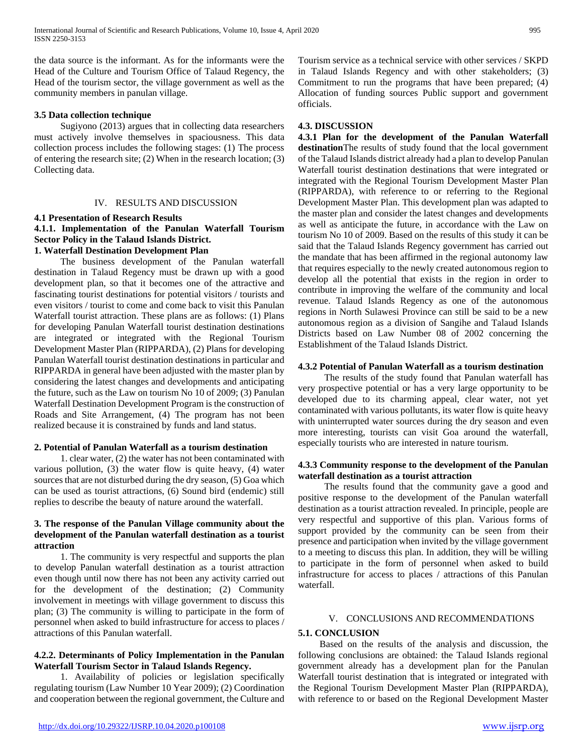the data source is the informant. As for the informants were the Head of the Culture and Tourism Office of Talaud Regency, the Head of the tourism sector, the village government as well as the community members in panulan village.

# **3.5 Data collection technique**

 Sugiyono (2013) argues that in collecting data researchers must actively involve themselves in spaciousness. This data collection process includes the following stages: (1) The process of entering the research site; (2) When in the research location; (3) Collecting data.

#### IV. RESULTS AND DISCUSSION

#### **4.1 Presentation of Research Results**

# **4.1.1. Implementation of the Panulan Waterfall Tourism Sector Policy in the Talaud Islands District.**

## **1. Waterfall Destination Development Plan**

 The business development of the Panulan waterfall destination in Talaud Regency must be drawn up with a good development plan, so that it becomes one of the attractive and fascinating tourist destinations for potential visitors / tourists and even visitors / tourist to come and come back to visit this Panulan Waterfall tourist attraction. These plans are as follows: (1) Plans for developing Panulan Waterfall tourist destination destinations are integrated or integrated with the Regional Tourism Development Master Plan (RIPPARDA), (2) Plans for developing Panulan Waterfall tourist destination destinations in particular and RIPPARDA in general have been adjusted with the master plan by considering the latest changes and developments and anticipating the future, such as the Law on tourism No 10 of 2009; (3) Panulan Waterfall Destination Development Program is the construction of Roads and Site Arrangement, (4) The program has not been realized because it is constrained by funds and land status.

#### **2. Potential of Panulan Waterfall as a tourism destination**

 1. clear water, (2) the water has not been contaminated with various pollution, (3) the water flow is quite heavy, (4) water sources that are not disturbed during the dry season, (5) Goa which can be used as tourist attractions, (6) Sound bird (endemic) still replies to describe the beauty of nature around the waterfall.

# **3. The response of the Panulan Village community about the development of the Panulan waterfall destination as a tourist attraction**

 1. The community is very respectful and supports the plan to develop Panulan waterfall destination as a tourist attraction even though until now there has not been any activity carried out for the development of the destination; (2) Community involvement in meetings with village government to discuss this plan; (3) The community is willing to participate in the form of personnel when asked to build infrastructure for access to places / attractions of this Panulan waterfall.

# **4.2.2. Determinants of Policy Implementation in the Panulan Waterfall Tourism Sector in Talaud Islands Regency.**

 1. Availability of policies or legislation specifically regulating tourism (Law Number 10 Year 2009); (2) Coordination and cooperation between the regional government, the Culture and Tourism service as a technical service with other services / SKPD in Talaud Islands Regency and with other stakeholders; (3) Commitment to run the programs that have been prepared; (4) Allocation of funding sources Public support and government officials.

# **4.3. DISCUSSION**

**4.3.1 Plan for the development of the Panulan Waterfall destination**The results of study found that the local government of the Talaud Islands district already had a plan to develop Panulan Waterfall tourist destination destinations that were integrated or integrated with the Regional Tourism Development Master Plan (RIPPARDA), with reference to or referring to the Regional Development Master Plan. This development plan was adapted to the master plan and consider the latest changes and developments as well as anticipate the future, in accordance with the Law on tourism No 10 of 2009. Based on the results of this study it can be said that the Talaud Islands Regency government has carried out the mandate that has been affirmed in the regional autonomy law that requires especially to the newly created autonomous region to develop all the potential that exists in the region in order to contribute in improving the welfare of the community and local revenue. Talaud Islands Regency as one of the autonomous regions in North Sulawesi Province can still be said to be a new autonomous region as a division of Sangihe and Talaud Islands Districts based on Law Number 08 of 2002 concerning the Establishment of the Talaud Islands District.

# **4.3.2 Potential of Panulan Waterfall as a tourism destination**

 The results of the study found that Panulan waterfall has very prospective potential or has a very large opportunity to be developed due to its charming appeal, clear water, not yet contaminated with various pollutants, its water flow is quite heavy with uninterrupted water sources during the dry season and even more interesting, tourists can visit Goa around the waterfall, especially tourists who are interested in nature tourism.

# **4.3.3 Community response to the development of the Panulan waterfall destination as a tourist attraction**

 The results found that the community gave a good and positive response to the development of the Panulan waterfall destination as a tourist attraction revealed. In principle, people are very respectful and supportive of this plan. Various forms of support provided by the community can be seen from their presence and participation when invited by the village government to a meeting to discuss this plan. In addition, they will be willing to participate in the form of personnel when asked to build infrastructure for access to places / attractions of this Panulan waterfall.

# V. CONCLUSIONS AND RECOMMENDATIONS

## **5.1. CONCLUSION**

Based on the results of the analysis and discussion, the following conclusions are obtained: the Talaud Islands regional government already has a development plan for the Panulan Waterfall tourist destination that is integrated or integrated with the Regional Tourism Development Master Plan (RIPPARDA), with reference to or based on the Regional Development Master